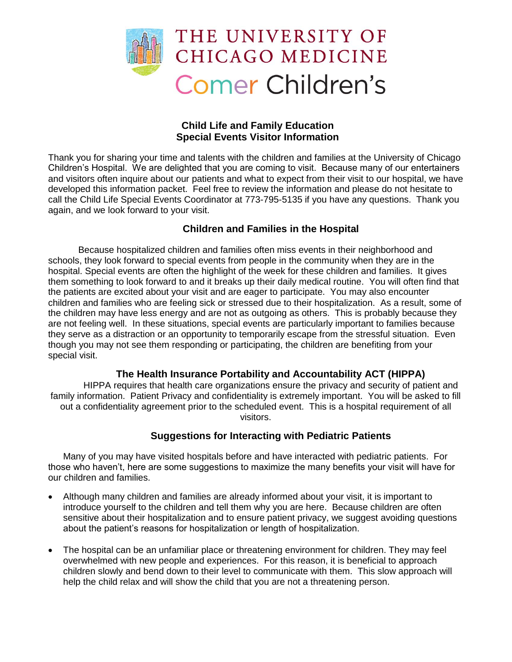

## **Child Life and Family Education Special Events Visitor Information**

Thank you for sharing your time and talents with the children and families at the University of Chicago Children's Hospital. We are delighted that you are coming to visit. Because many of our entertainers and visitors often inquire about our patients and what to expect from their visit to our hospital, we have developed this information packet. Feel free to review the information and please do not hesitate to call the Child Life Special Events Coordinator at 773-795-5135 if you have any questions. Thank you again, and we look forward to your visit.

# **Children and Families in the Hospital**

Because hospitalized children and families often miss events in their neighborhood and schools, they look forward to special events from people in the community when they are in the hospital. Special events are often the highlight of the week for these children and families. It gives them something to look forward to and it breaks up their daily medical routine. You will often find that the patients are excited about your visit and are eager to participate. You may also encounter children and families who are feeling sick or stressed due to their hospitalization. As a result, some of the children may have less energy and are not as outgoing as others. This is probably because they are not feeling well. In these situations, special events are particularly important to families because they serve as a distraction or an opportunity to temporarily escape from the stressful situation. Even though you may not see them responding or participating, the children are benefiting from your special visit.

#### **The Health Insurance Portability and Accountability ACT (HIPPA)**

HIPPA requires that health care organizations ensure the privacy and security of patient and family information. Patient Privacy and confidentiality is extremely important. You will be asked to fill out a confidentiality agreement prior to the scheduled event. This is a hospital requirement of all visitors.

#### **Suggestions for Interacting with Pediatric Patients**

Many of you may have visited hospitals before and have interacted with pediatric patients. For those who haven't, here are some suggestions to maximize the many benefits your visit will have for our children and families.

- Although many children and families are already informed about your visit, it is important to introduce yourself to the children and tell them why you are here. Because children are often sensitive about their hospitalization and to ensure patient privacy, we suggest avoiding questions about the patient's reasons for hospitalization or length of hospitalization.
- The hospital can be an unfamiliar place or threatening environment for children. They may feel overwhelmed with new people and experiences. For this reason, it is beneficial to approach children slowly and bend down to their level to communicate with them. This slow approach will help the child relax and will show the child that you are not a threatening person.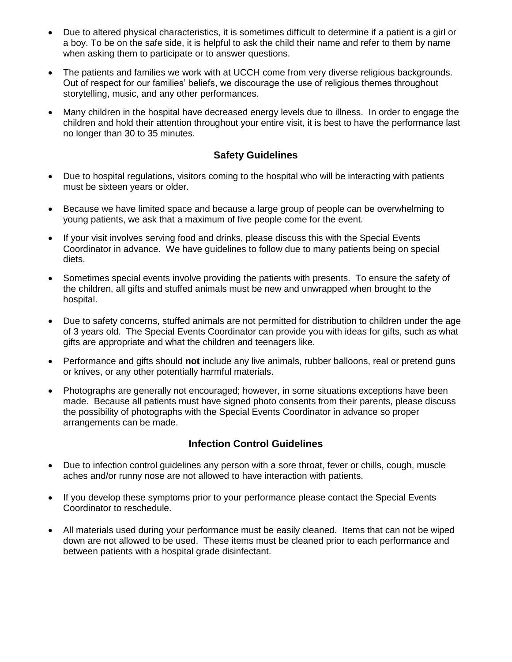- Due to altered physical characteristics, it is sometimes difficult to determine if a patient is a girl or a boy. To be on the safe side, it is helpful to ask the child their name and refer to them by name when asking them to participate or to answer questions.
- The patients and families we work with at UCCH come from very diverse religious backgrounds. Out of respect for our families' beliefs, we discourage the use of religious themes throughout storytelling, music, and any other performances.
- Many children in the hospital have decreased energy levels due to illness. In order to engage the children and hold their attention throughout your entire visit, it is best to have the performance last no longer than 30 to 35 minutes.

#### **Safety Guidelines**

- Due to hospital regulations, visitors coming to the hospital who will be interacting with patients must be sixteen years or older.
- Because we have limited space and because a large group of people can be overwhelming to young patients, we ask that a maximum of five people come for the event.
- If your visit involves serving food and drinks, please discuss this with the Special Events Coordinator in advance. We have guidelines to follow due to many patients being on special diets.
- Sometimes special events involve providing the patients with presents. To ensure the safety of the children, all gifts and stuffed animals must be new and unwrapped when brought to the hospital.
- Due to safety concerns, stuffed animals are not permitted for distribution to children under the age of 3 years old. The Special Events Coordinator can provide you with ideas for gifts, such as what gifts are appropriate and what the children and teenagers like.
- Performance and gifts should **not** include any live animals, rubber balloons, real or pretend guns or knives, or any other potentially harmful materials.
- Photographs are generally not encouraged; however, in some situations exceptions have been made. Because all patients must have signed photo consents from their parents, please discuss the possibility of photographs with the Special Events Coordinator in advance so proper arrangements can be made.

#### **Infection Control Guidelines**

- Due to infection control guidelines any person with a sore throat, fever or chills, cough, muscle aches and/or runny nose are not allowed to have interaction with patients.
- If you develop these symptoms prior to your performance please contact the Special Events Coordinator to reschedule.
- All materials used during your performance must be easily cleaned. Items that can not be wiped down are not allowed to be used. These items must be cleaned prior to each performance and between patients with a hospital grade disinfectant.